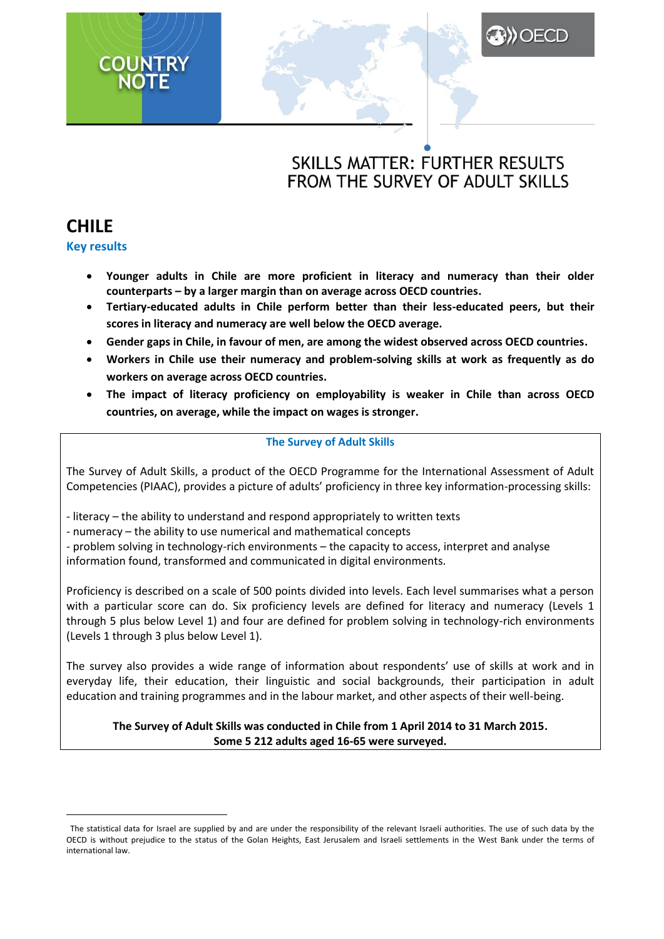# **SKILLS MATTER: FURTHER RESULTS** FROM THE SURVEY OF ADULT SKILLS

OECD

# **CHILE<sup>1</sup>**

 $\overline{a}$ 

**Key results**

**COUNTRY** 

- **Younger adults in Chile are more proficient in literacy and numeracy than their older counterparts – by a larger margin than on average across OECD countries.**
- **Tertiary-educated adults in Chile perform better than their less-educated peers, but their scores in literacy and numeracy are well below the OECD average.**
- **Gender gaps in Chile, in favour of men, are among the widest observed across OECD countries.**
- **Workers in Chile use their numeracy and problem-solving skills at work as frequently as do workers on average across OECD countries.**
- **The impact of literacy proficiency on employability is weaker in Chile than across OECD countries, on average, while the impact on wages is stronger.**

# **The Survey of Adult Skills**

The Survey of Adult Skills, a product of the OECD Programme for the International Assessment of Adult Competencies (PIAAC), provides a picture of adults' proficiency in three key information-processing skills:

- literacy – the ability to understand and respond appropriately to written texts

- numeracy – the ability to use numerical and mathematical concepts

- problem solving in technology-rich environments – the capacity to access, interpret and analyse information found, transformed and communicated in digital environments.

Proficiency is described on a scale of 500 points divided into levels. Each level summarises what a person with a particular score can do. Six proficiency levels are defined for literacy and numeracy (Levels 1 through 5 plus below Level 1) and four are defined for problem solving in technology-rich environments (Levels 1 through 3 plus below Level 1).

The survey also provides a wide range of information about respondents' use of skills at work and in everyday life, their education, their linguistic and social backgrounds, their participation in adult education and training programmes and in the labour market, and other aspects of their well-being.

# **The Survey of Adult Skills was conducted in Chile from 1 April 2014 to 31 March 2015. Some 5 212 adults aged 16-65 were surveyed.**

<sup>1</sup> The statistical data for Israel are supplied by and are under the responsibility of the relevant Israeli authorities. The use of such data by the OECD is without prejudice to the status of the Golan Heights, East Jerusalem and Israeli settlements in the West Bank under the terms of international law.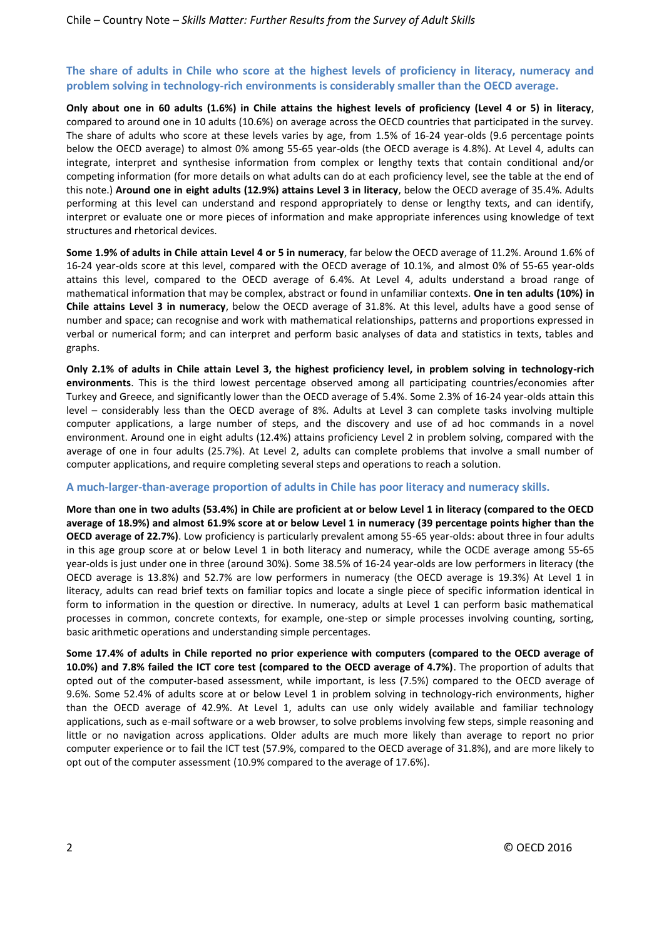# **The share of adults in Chile who score at the highest levels of proficiency in literacy, numeracy and problem solving in technology-rich environments is considerably smaller than the OECD average.**

**Only about one in 60 adults (1.6%) in Chile attains the highest levels of proficiency (Level 4 or 5) in literacy**, compared to around one in 10 adults (10.6%) on average across the OECD countries that participated in the survey. The share of adults who score at these levels varies by age, from 1.5% of 16-24 year-olds (9.6 percentage points below the OECD average) to almost 0% among 55-65 year-olds (the OECD average is 4.8%). At Level 4, adults can integrate, interpret and synthesise information from complex or lengthy texts that contain conditional and/or competing information (for more details on what adults can do at each proficiency level, see the table at the end of this note.) **Around one in eight adults (12.9%) attains Level 3 in literacy**, below the OECD average of 35.4%. Adults performing at this level can understand and respond appropriately to dense or lengthy texts, and can identify, interpret or evaluate one or more pieces of information and make appropriate inferences using knowledge of text structures and rhetorical devices.

**Some 1.9% of adults in Chile attain Level 4 or 5 in numeracy**, far below the OECD average of 11.2%. Around 1.6% of 16-24 year-olds score at this level, compared with the OECD average of 10.1%, and almost 0% of 55-65 year-olds attains this level, compared to the OECD average of 6.4%. At Level 4, adults understand a broad range of mathematical information that may be complex, abstract or found in unfamiliar contexts. **One in ten adults (10%) in Chile attains Level 3 in numeracy**, below the OECD average of 31.8%. At this level, adults have a good sense of number and space; can recognise and work with mathematical relationships, patterns and proportions expressed in verbal or numerical form; and can interpret and perform basic analyses of data and statistics in texts, tables and graphs.

**Only 2.1% of adults in Chile attain Level 3, the highest proficiency level, in problem solving in technology-rich environments**. This is the third lowest percentage observed among all participating countries/economies after Turkey and Greece, and significantly lower than the OECD average of 5.4%. Some 2.3% of 16-24 year-olds attain this level – considerably less than the OECD average of 8%. Adults at Level 3 can complete tasks involving multiple computer applications, a large number of steps, and the discovery and use of ad hoc commands in a novel environment. Around one in eight adults (12.4%) attains proficiency Level 2 in problem solving, compared with the average of one in four adults (25.7%). At Level 2, adults can complete problems that involve a small number of computer applications, and require completing several steps and operations to reach a solution.

#### **A much-larger-than-average proportion of adults in Chile has poor literacy and numeracy skills.**

**More than one in two adults (53.4%) in Chile are proficient at or below Level 1 in literacy (compared to the OECD average of 18.9%) and almost 61.9% score at or below Level 1 in numeracy (39 percentage points higher than the OECD average of 22.7%)**. Low proficiency is particularly prevalent among 55-65 year-olds: about three in four adults in this age group score at or below Level 1 in both literacy and numeracy, while the OCDE average among 55-65 year-olds is just under one in three (around 30%). Some 38.5% of 16-24 year-olds are low performers in literacy (the OECD average is 13.8%) and 52.7% are low performers in numeracy (the OECD average is 19.3%) At Level 1 in literacy, adults can read brief texts on familiar topics and locate a single piece of specific information identical in form to information in the question or directive. In numeracy, adults at Level 1 can perform basic mathematical processes in common, concrete contexts, for example, one-step or simple processes involving counting, sorting, basic arithmetic operations and understanding simple percentages.

**Some 17.4% of adults in Chile reported no prior experience with computers (compared to the OECD average of 10.0%) and 7.8% failed the ICT core test (compared to the OECD average of 4.7%)**. The proportion of adults that opted out of the computer-based assessment, while important, is less (7.5%) compared to the OECD average of 9.6%. Some 52.4% of adults score at or below Level 1 in problem solving in technology-rich environments, higher than the OECD average of 42.9%. At Level 1, adults can use only widely available and familiar technology applications, such as e-mail software or a web browser, to solve problems involving few steps, simple reasoning and little or no navigation across applications. Older adults are much more likely than average to report no prior computer experience or to fail the ICT test (57.9%, compared to the OECD average of 31.8%), and are more likely to opt out of the computer assessment (10.9% compared to the average of 17.6%).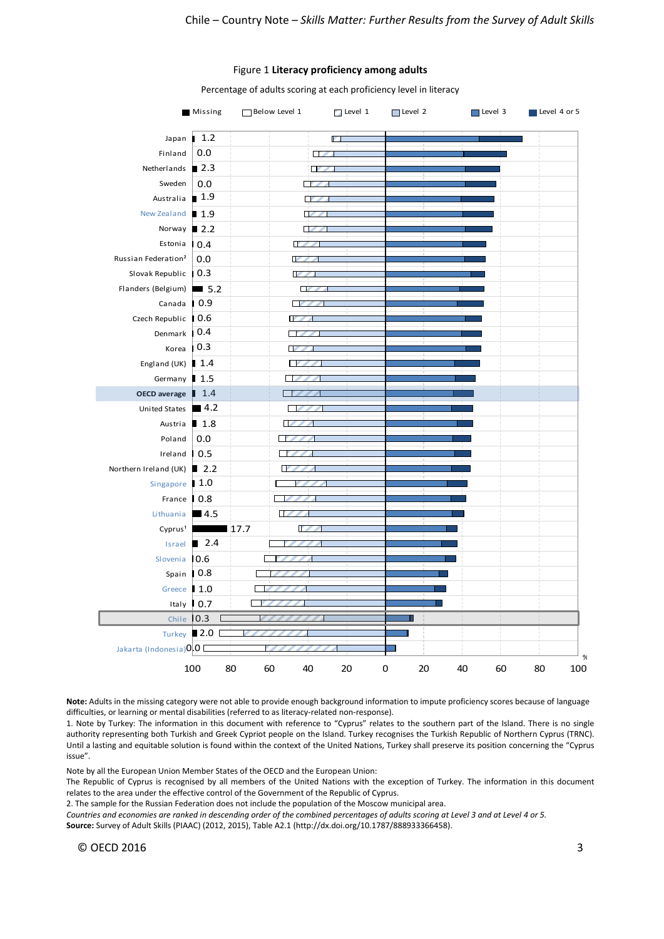|                                 | Missing                   | $\Box$ Below Level 1 |                          | Level 1      | $\Box$ Level 2 | $\Box$ Level 3 | $\blacksquare$ Level 4 or 5 |
|---------------------------------|---------------------------|----------------------|--------------------------|--------------|----------------|----------------|-----------------------------|
|                                 | Japan $\blacksquare$ 1.2  |                      |                          | F.           |                |                |                             |
| Finland                         | 0.0                       |                      |                          | $\mathbb{Z}$ |                |                |                             |
| Netherlands 2.3                 |                           |                      |                          | <b>STAR</b>  |                |                |                             |
| Sweden                          | 0.0                       |                      | a a shekara              |              |                |                |                             |
| Australia 1.9                   |                           |                      | a Kabupatén Band         |              |                |                |                             |
| New Zealand 1.9                 |                           |                      | $\sim$                   |              |                |                |                             |
| Norway $\blacksquare$ 2.2       |                           |                      | $\overline{\phantom{a}}$ |              |                |                |                             |
| Estonia                         | $\mid$ 0.4                |                      | $\sim$                   |              |                |                |                             |
| Russian Federation <sup>2</sup> | 0.0                       |                      | $\sim$ $\sim$            |              |                |                |                             |
| Slovak Republic                 | 0.3                       |                      | $\mathscr{L}$            |              |                |                |                             |
| Flanders (Belgium) 5.2          |                           |                      | $\overline{\phantom{a}}$ |              |                |                |                             |
| Canada   0.9                    |                           |                      | $\sim$                   |              |                |                |                             |
| Czech Republic   0.6            |                           |                      | び                        |              |                |                |                             |
| Denmark                         | 0.4                       |                      | n Z                      |              |                |                |                             |
| Korea                           | 0.3                       |                      | $\overline{\phantom{a}}$ |              |                |                |                             |
| England (UK) $\blacksquare$ 1.4 |                           |                      | $\sim$                   |              |                |                |                             |
| Germany 1.5                     |                           |                      | $\sim$                   |              |                |                |                             |
| OECD average   1.4              |                           |                      |                          |              |                |                |                             |
| United States 4.2               |                           |                      |                          |              |                |                |                             |
| Austria 1.8                     |                           |                      | П.                       |              |                |                |                             |
| Poland                          | 0.0                       |                      | ΠF                       |              |                |                |                             |
| Ireland                         | 0.5                       |                      |                          |              |                |                |                             |
| Northern Ireland (UK) 2.2       |                           |                      | --                       |              |                |                |                             |
| Singapore 1.0                   |                           |                      |                          |              |                |                |                             |
| France   0.8                    |                           |                      |                          |              |                |                |                             |
| Lithuania 4.5                   |                           |                      | Œ                        |              |                |                |                             |
| Cyprus <sup>1</sup>             | $\sim$ 17.7               |                      | -11                      |              |                |                |                             |
|                                 | Israel $\blacksquare$ 2.4 |                      |                          |              |                |                |                             |
| Slovenia 10.6                   |                           |                      |                          |              |                |                |                             |
|                                 | Spain $\vert 0.8 \vert$   |                      |                          |              |                |                |                             |
| Greece 1.0                      |                           |                      |                          |              |                |                |                             |
|                                 | Italy   0.7               |                      |                          |              |                |                |                             |
|                                 | Chile $ 0.3$              |                      |                          |              | п              |                |                             |
|                                 | Turkey $2.0$ [            |                      |                          |              |                |                |                             |
| Jakarta (Indonesia) 0 0         |                           |                      |                          |              |                |                |                             |
|                                 | 100                       | 80                   | 60<br>40                 | 20           | 0<br>20        | 40<br>60       | 80<br>100                   |

#### Figure 1 **Literacy proficiency among adults**

Percentage of adults scoring at each proficiency level in literacy Percentage of adults scoring at each proficiency level in literacy

**Note:** Adults in the missing category were not able to provide enough background information to impute proficiency scores because of language difficulties, or learning or mental disabilities (referred to as literacy-related non-response).

1. Note by Turkey: The information in this document with reference to "Cyprus" relates to the southern part of the Island. There is no single authority representing both Turkish and Greek Cypriot people on the Island. Turkey recognises the Turkish Republic of Northern Cyprus (TRNC). Until a lasting and equitable solution is found within the context of the United Nations, Turkey shall preserve its position concerning the "Cyprus issue".

Note by all the European Union Member States of the OECD and the European Union:

The Republic of Cyprus is recognised by all members of the United Nations with the exception of Turkey. The information in this document relates to the area under the effective control of the Government of the Republic of Cyprus.

2. The sample for the Russian Federation does not include the population of the Moscow municipal area.

*Countries and economies are ranked in descending order of the combined percentages of adults scoring at Level 3 and at Level 4 or 5.*

**Source:** Survey of Adult Skills (PIAAC) (2012, 2015), Table A2.1 [\(http://dx.doi.org/10.1787/888933366458\).](http://dx.doi.org/10.1787/888933366458).)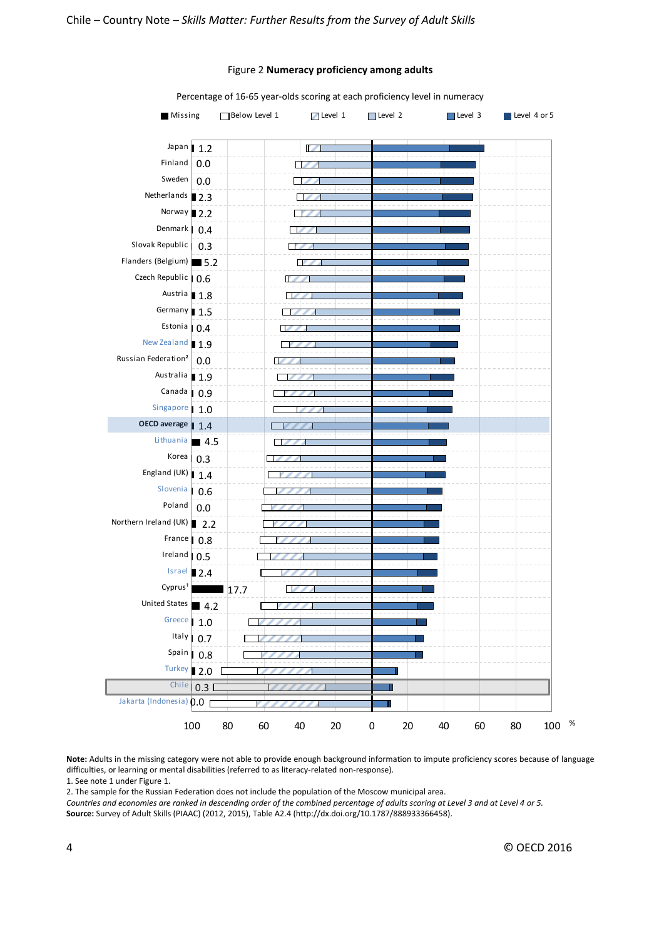

#### Figure 2 **Numeracy proficiency among adults**

**Note:** Adults in the missing category were not able to provide enough background information to impute proficiency scores because of language difficulties, or learning or mental disabilities (referred to as literacy-related non-response).

1. See note 1 under Figure 1.

2. The sample for the Russian Federation does not include the population of the Moscow municipal area.

*Countries and economies are ranked in descending order of the combined percentage of adults scoring at Level 3 and at Level 4 or 5.* **Source:** Survey of Adult Skills (PIAAC) (2012, 2015), Table A2.4 [\(http://dx.doi.org/10.1787/888933366458\).]((http:/dx.doi.org/10.1787/888933366458).)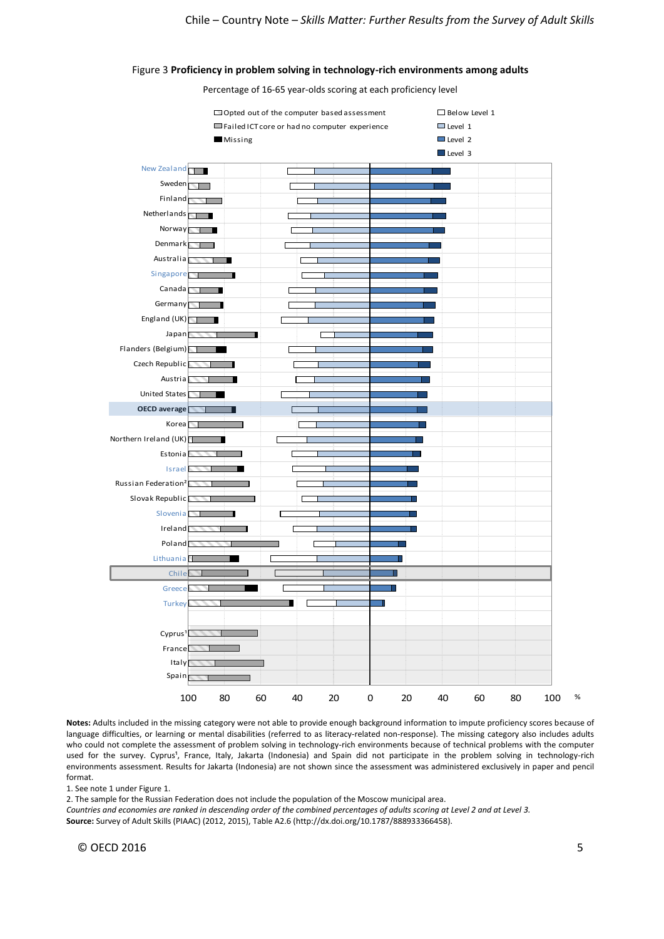#### Figure 3 **Proficiency in problem solving in technology-rich environments among adults**

Percentage of 16-65 year-olds scoring at each proficiency level



**Notes:** Adults included in the missing category were not able to provide enough background information to impute proficiency scores because of language difficulties, or learning or mental disabilities (referred to as literacy-related non-response). The missing category also includes adults who could not complete the assessment of problem solving in technology-rich environments because of technical problems with the computer used for the survey. Cyprus<sup>1</sup>, France, Italy, Jakarta (Indonesia) and Spain did not participate in the problem solving in technology-rich environments assessment. Results for Jakarta (Indonesia) are not shown since the assessment was administered exclusively in paper and pencil format.

1. See note 1 under Figure 1.

2. The sample for the Russian Federation does not include the population of the Moscow municipal area.

*Countries and economies are ranked in descending order of the combined percentages of adults scoring at Level 2 and at Level 3.* **Source:** Survey of Adult Skills (PIAAC) (2012, 2015), Table A2.6 [\(http://dx.doi.org/10.1787/888933366458\)](http://dx.doi.org/10.1787/888933366458).

 $\heartsuit$  OECD 2016  $\qquad \qquad$  5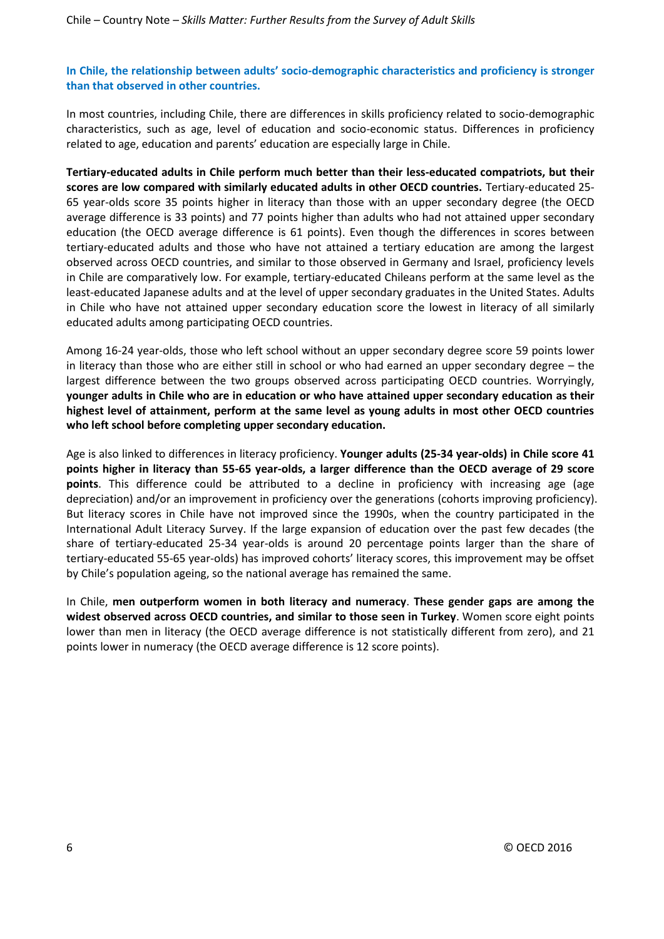# **In Chile, the relationship between adults' socio-demographic characteristics and proficiency is stronger than that observed in other countries.**

In most countries, including Chile, there are differences in skills proficiency related to socio-demographic characteristics, such as age, level of education and socio-economic status. Differences in proficiency related to age, education and parents' education are especially large in Chile.

**Tertiary-educated adults in Chile perform much better than their less-educated compatriots, but their scores are low compared with similarly educated adults in other OECD countries.** Tertiary-educated 25- 65 year-olds score 35 points higher in literacy than those with an upper secondary degree (the OECD average difference is 33 points) and 77 points higher than adults who had not attained upper secondary education (the OECD average difference is 61 points). Even though the differences in scores between tertiary-educated adults and those who have not attained a tertiary education are among the largest observed across OECD countries, and similar to those observed in Germany and Israel, proficiency levels in Chile are comparatively low. For example, tertiary-educated Chileans perform at the same level as the least-educated Japanese adults and at the level of upper secondary graduates in the United States. Adults in Chile who have not attained upper secondary education score the lowest in literacy of all similarly educated adults among participating OECD countries.

Among 16-24 year-olds, those who left school without an upper secondary degree score 59 points lower in literacy than those who are either still in school or who had earned an upper secondary degree – the largest difference between the two groups observed across participating OECD countries. Worryingly, **younger adults in Chile who are in education or who have attained upper secondary education as their highest level of attainment, perform at the same level as young adults in most other OECD countries who left school before completing upper secondary education.** 

Age is also linked to differences in literacy proficiency. **Younger adults (25-34 year-olds) in Chile score 41 points higher in literacy than 55-65 year-olds, a larger difference than the OECD average of 29 score points**. This difference could be attributed to a decline in proficiency with increasing age (age depreciation) and/or an improvement in proficiency over the generations (cohorts improving proficiency). But literacy scores in Chile have not improved since the 1990s, when the country participated in the International Adult Literacy Survey. If the large expansion of education over the past few decades (the share of tertiary-educated 25-34 year-olds is around 20 percentage points larger than the share of tertiary-educated 55-65 year-olds) has improved cohorts' literacy scores, this improvement may be offset by Chile's population ageing, so the national average has remained the same.

In Chile, **men outperform women in both literacy and numeracy**. **These gender gaps are among the widest observed across OECD countries, and similar to those seen in Turkey**. Women score eight points lower than men in literacy (the OECD average difference is not statistically different from zero), and 21 points lower in numeracy (the OECD average difference is 12 score points).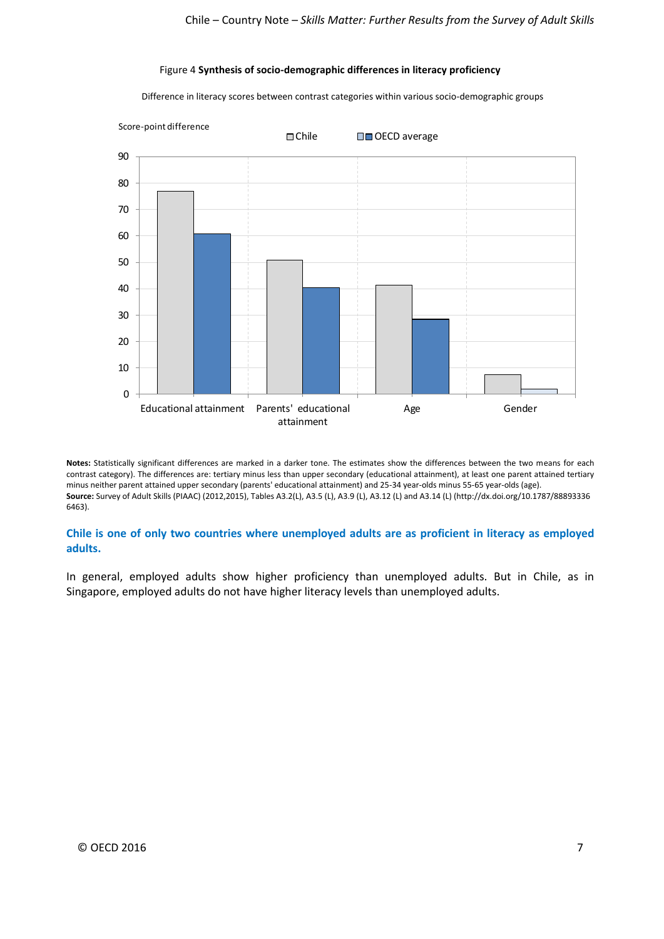#### Figure 4 **Synthesis of socio-demographic differences in literacy proficiency**

Difference in literacy scores between contrast categories within various socio-demographic groups Difference in literacy scores between contrast categories within various socio-demographic groups



**Notes:** Statistically significant differences are marked in a darker tone. The estimates show the differences between the two means for each contrast category). The differences are: tertiary minus less than upper secondary (educational attainment), at least one parent attained tertiary minus neither parent attained upper secondary (parents' educational attainment) and 25-34 year-olds minus 55-65 year-olds (age). **Source:** Survey of Adult Skills (PIAAC) (2012,2015), Tables A3.2(L), A3.5 (L), A3.9 (L), A3.12 (L) and A3.14 (L) [\(http://dx.doi.org/10.1787/88893336](http://dx.doi.org/10.1787/888933366463) [6463\)](http://dx.doi.org/10.1787/888933366463).

### **Chile is one of only two countries where unemployed adults are as proficient in literacy as employed adults.**

In general, employed adults show higher proficiency than unemployed adults. But in Chile, as in Singapore, employed adults do not have higher literacy levels than unemployed adults.

#### $\heartsuit$  OECD 2016  $\qquad \qquad$  7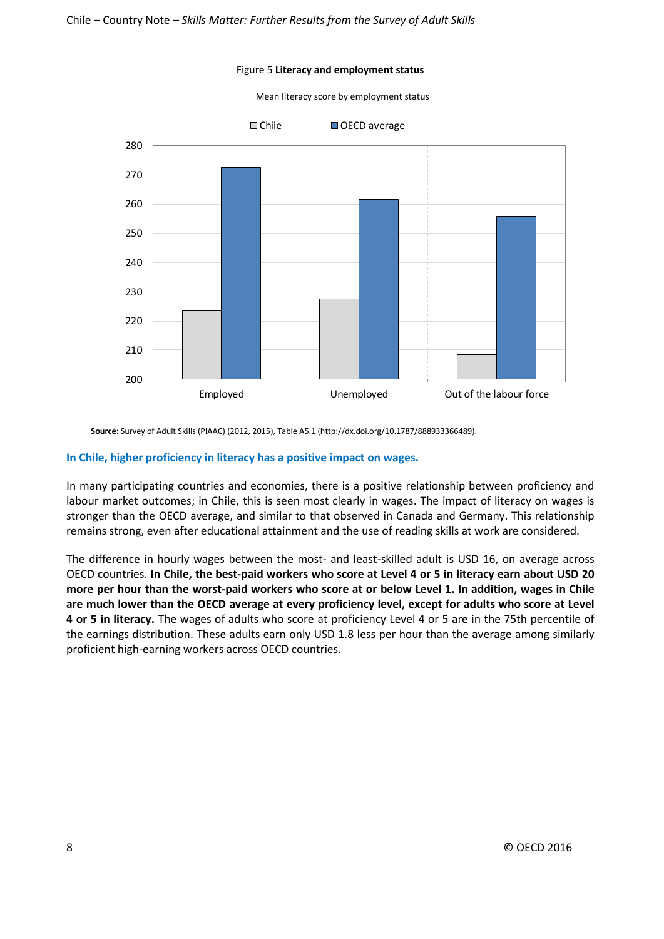

Figure 5 **Literacy and employment status**  $\mathcal{L}$  and the by employment status status status status status status status status status status status status status status status status status status status status status status status status status status status s

Mean literacy score by employment status

**Source:** Survey of Adult Skills (PIAAC) (2012, 2015), Table A5.1 (http://dx.doi.org/10.1787/888933366489).

#### **In Chile, higher proficiency in literacy has a positive impact on wages.**

In many participating countries and economies, there is a positive relationship between proficiency and labour market outcomes; in Chile, this is seen most clearly in wages. The impact of literacy on wages is stronger than the OECD average, and similar to that observed in Canada and Germany. This relationship remains strong, even after educational attainment and the use of reading skills at work are considered.

The difference in hourly wages between the most- and least-skilled adult is USD 16, on average across OECD countries. **In Chile, the best-paid workers who score at Level 4 or 5 in literacy earn about USD 20 more per hour than the worst-paid workers who score at or below Level 1. In addition, wages in Chile are much lower than the OECD average at every proficiency level, except for adults who score at Level 4 or 5 in literacy.** The wages of adults who score at proficiency Level 4 or 5 are in the 75th percentile of the earnings distribution. These adults earn only USD 1.8 less per hour than the average among similarly proficient high-earning workers across OECD countries.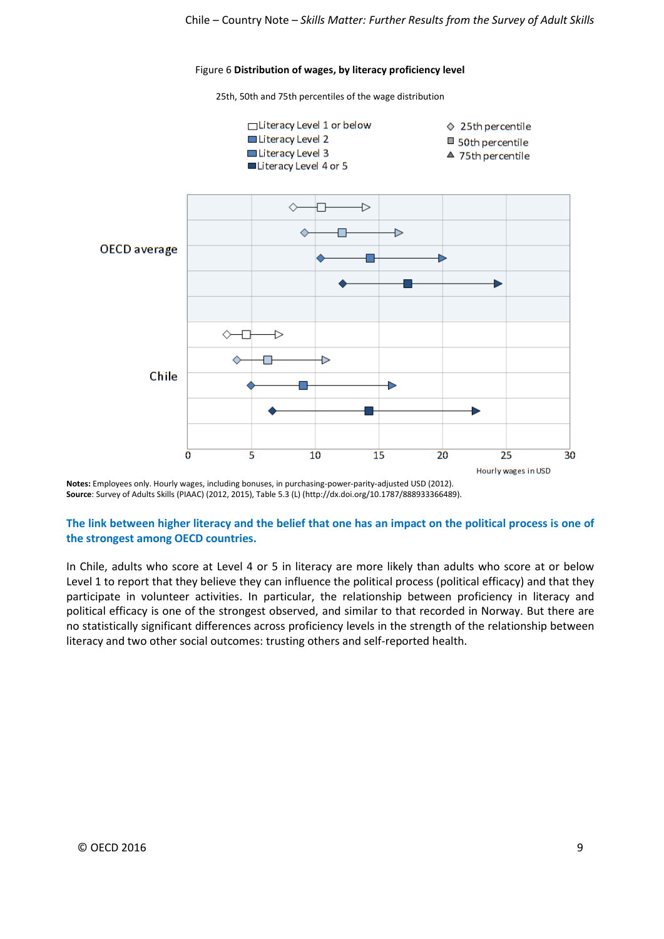### Figure 6 **Distribution of wages, by literacy proficiency level**

25th, 50th and 75th percentiles of the wage distribution



**Notes:** Employees only. Hourly wages, including bonuses, in purchasing-power-parity-adjusted USD (2012). **Source**: Survey of Adults Skills (PIAAC) (2012, 2015), Table 5.3 (L) [\(http://dx.doi.org/10.1787/888933366489\)](http://dx.doi.org/10.1787/888933366489).

# **The link between higher literacy and the belief that one has an impact on the political process is one of the strongest among OECD countries.**

In Chile, adults who score at Level 4 or 5 in literacy are more likely than adults who score at or below Level 1 to report that they believe they can influence the political process (political efficacy) and that they participate in volunteer activities. In particular, the relationship between proficiency in literacy and political efficacy is one of the strongest observed, and similar to that recorded in Norway. But there are no statistically significant differences across proficiency levels in the strength of the relationship between literacy and two other social outcomes: trusting others and self-reported health.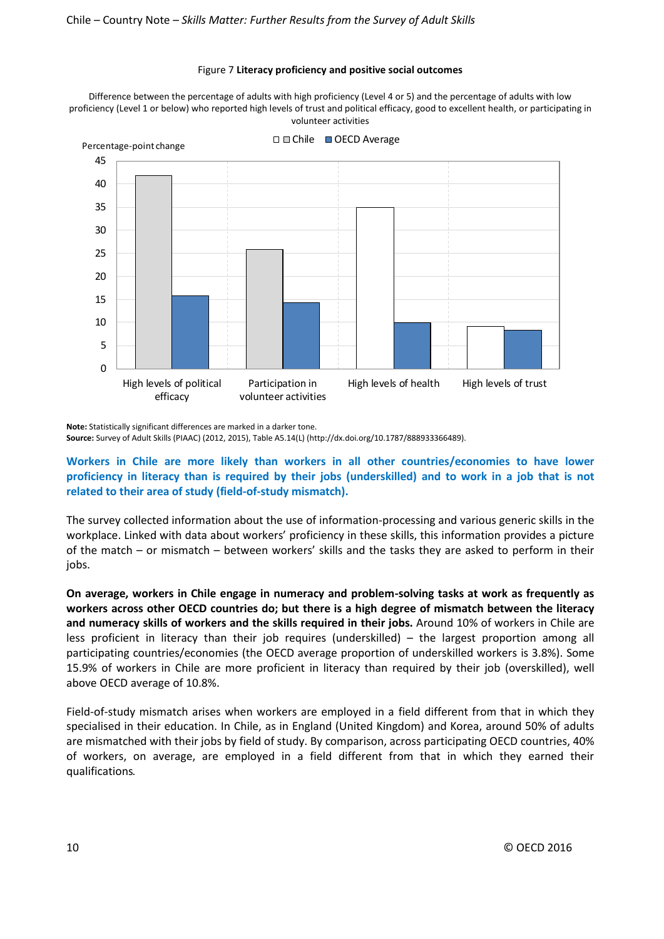

#### Figure 7 **Literacy proficiency and positive social outcomes**

Difference between the percentage of adults with high proficiency (Level 4 or 5) and the percentage of adults with low proficiency (Level 1 or below) who reported high levels of trust and political efficacy, good to excellent health, or participating in volunteer activities

**Note:** Statistically significant differences are marked in a darker tone.

**Source:** Survey of Adult Skills (PIAAC) (2012, 2015), Table A5.14(L) [\(http://dx.doi.org/10.1787/888933366489\)](http://dx.doi.org/10.1787/888933366489).

**Workers in Chile are more likely than workers in all other countries/economies to have lower proficiency in literacy than is required by their jobs (underskilled) and to work in a job that is not related to their area of study (field-of-study mismatch).**

The survey collected information about the use of information-processing and various generic skills in the workplace. Linked with data about workers' proficiency in these skills, this information provides a picture of the match – or mismatch – between workers' skills and the tasks they are asked to perform in their jobs.

**On average, workers in Chile engage in numeracy and problem-solving tasks at work as frequently as workers across other OECD countries do; but there is a high degree of mismatch between the literacy and numeracy skills of workers and the skills required in their jobs.** Around 10% of workers in Chile are less proficient in literacy than their job requires (underskilled) – the largest proportion among all participating countries/economies (the OECD average proportion of underskilled workers is 3.8%). Some 15.9% of workers in Chile are more proficient in literacy than required by their job (overskilled), well above OECD average of 10.8%.

Field-of-study mismatch arises when workers are employed in a field different from that in which they specialised in their education. In Chile, as in England (United Kingdom) and Korea, around 50% of adults are mismatched with their jobs by field of study. By comparison, across participating OECD countries, 40% of workers, on average, are employed in a field different from that in which they earned their qualifications.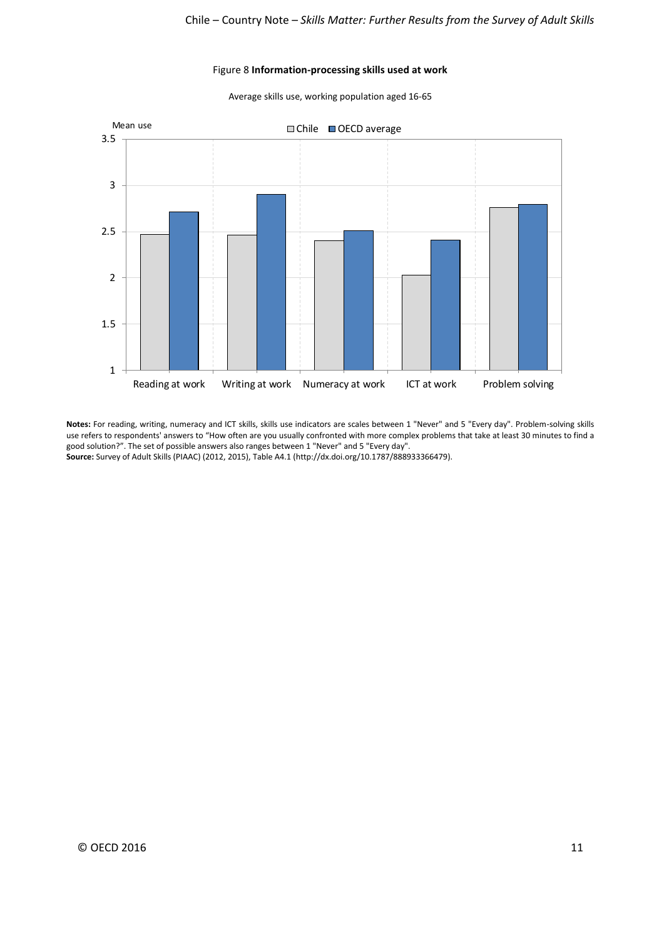## Figure 8 **Information-processing skills used at work**

1 1.5 2 2.5 3 3.5 Reading at work Writing at work Numeracy at work ICT at work Problem solving Mean use Chile OECD average

Average skills use, working population aged 16-65 Average skills use, working population aged 16-65

**Notes:** For reading, writing, numeracy and ICT skills, skills use indicators are scales between 1 "Never" and 5 "Every day". Problem-solving skills use refers to respondents' answers to "How often are you usually confronted with more complex problems that take at least 30 minutes to find a good solution?". The set of possible answers also ranges between 1 "Never" and 5 "Every day".

**Source:** Survey of Adult Skills (PIAAC) (2012, 2015), Table A4.1 [\(http://dx.doi.org/10.1787/888933366479\)](http://dx.doi.org/10.1787/888933366479).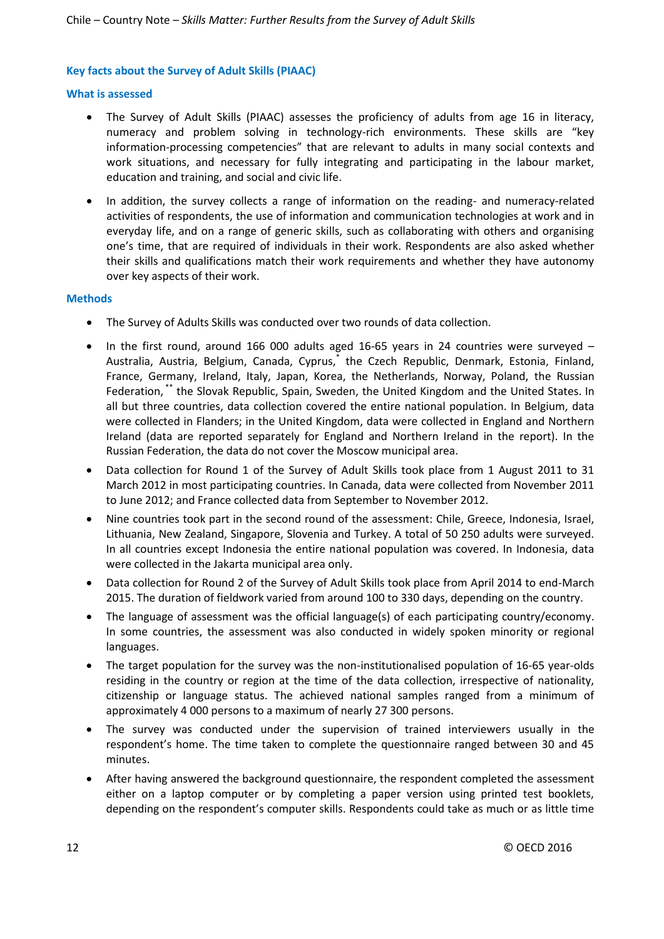# **Key facts about the Survey of Adult Skills (PIAAC)**

### **What is assessed**

- The Survey of Adult Skills (PIAAC) assesses the proficiency of adults from age 16 in literacy, numeracy and problem solving in technology-rich environments. These skills are "key information-processing competencies" that are relevant to adults in many social contexts and work situations, and necessary for fully integrating and participating in the labour market, education and training, and social and civic life.
- In addition, the survey collects a range of information on the reading- and numeracy-related activities of respondents, the use of information and communication technologies at work and in everyday life, and on a range of generic skills, such as collaborating with others and organising one's time, that are required of individuals in their work. Respondents are also asked whether their skills and qualifications match their work requirements and whether they have autonomy over key aspects of their work.

### **Methods**

- The Survey of Adults Skills was conducted over two rounds of data collection.
- In the first round, around 166 000 adults aged 16-65 years in 24 countries were surveyed Australia, Austria, Belgium, Canada, Cyprus,<sup>\*</sup> the Czech Republic, Denmark, Estonia, Finland, France, Germany, Ireland, Italy, Japan, Korea, the Netherlands, Norway, Poland, the Russian Federation, \*\* the Slovak Republic, Spain, Sweden, the United Kingdom and the United States. In all but three countries, data collection covered the entire national population. In Belgium, data were collected in Flanders; in the United Kingdom, data were collected in England and Northern Ireland (data are reported separately for England and Northern Ireland in the report). In the Russian Federation, the data do not cover the Moscow municipal area.
- Data collection for Round 1 of the Survey of Adult Skills took place from 1 August 2011 to 31 March 2012 in most participating countries. In Canada, data were collected from November 2011 to June 2012; and France collected data from September to November 2012.
- Nine countries took part in the second round of the assessment: Chile, Greece, Indonesia, Israel, Lithuania, New Zealand, Singapore, Slovenia and Turkey. A total of 50 250 adults were surveyed. In all countries except Indonesia the entire national population was covered. In Indonesia, data were collected in the Jakarta municipal area only.
- Data collection for Round 2 of the Survey of Adult Skills took place from April 2014 to end-March 2015. The duration of fieldwork varied from around 100 to 330 days, depending on the country.
- The language of assessment was the official language(s) of each participating country/economy. In some countries, the assessment was also conducted in widely spoken minority or regional languages.
- The target population for the survey was the non-institutionalised population of 16-65 year-olds residing in the country or region at the time of the data collection, irrespective of nationality, citizenship or language status. The achieved national samples ranged from a minimum of approximately 4 000 persons to a maximum of nearly 27 300 persons.
- The survey was conducted under the supervision of trained interviewers usually in the respondent's home. The time taken to complete the questionnaire ranged between 30 and 45 minutes.
- After having answered the background questionnaire, the respondent completed the assessment either on a laptop computer or by completing a paper version using printed test booklets, depending on the respondent's computer skills. Respondents could take as much or as little time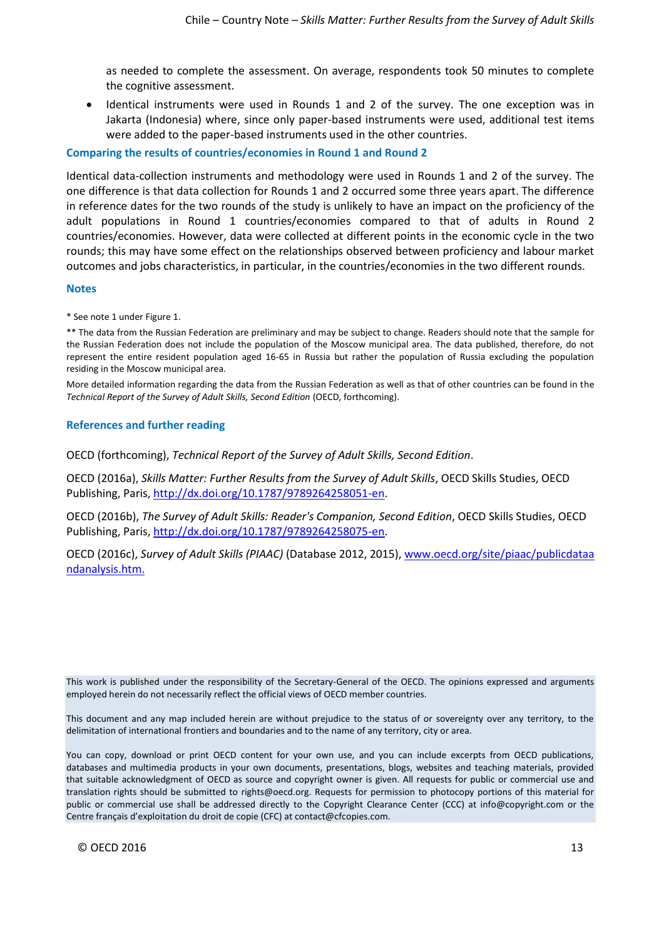as needed to complete the assessment. On average, respondents took 50 minutes to complete the cognitive assessment.

• Identical instruments were used in Rounds 1 and 2 of the survey. The one exception was in Jakarta (Indonesia) where, since only paper-based instruments were used, additional test items were added to the paper-based instruments used in the other countries.

# **Comparing the results of countries/economies in Round 1 and Round 2**

Identical data-collection instruments and methodology were used in Rounds 1 and 2 of the survey. The one difference is that data collection for Rounds 1 and 2 occurred some three years apart. The difference in reference dates for the two rounds of the study is unlikely to have an impact on the proficiency of the adult populations in Round 1 countries/economies compared to that of adults in Round 2 countries/economies. However, data were collected at different points in the economic cycle in the two rounds; this may have some effect on the relationships observed between proficiency and labour market outcomes and jobs characteristics, in particular, in the countries/economies in the two different rounds.

#### **Notes**

\* See note 1 under Figure 1.

\*\* The data from the Russian Federation are preliminary and may be subject to change. Readers should note that the sample for the Russian Federation does not include the population of the Moscow municipal area. The data published, therefore, do not represent the entire resident population aged 16-65 in Russia but rather the population of Russia excluding the population residing in the Moscow municipal area.

More detailed information regarding the data from the Russian Federation as well as that of other countries can be found in the *Technical Report of the Survey of Adult Skills, Second Edition* (OECD, forthcoming).

## **References and further reading**

OECD (forthcoming), *Technical Report of the Survey of Adult Skills, Second Edition*.

OECD (2016a), *Skills Matter: Further Results from the Survey of Adult Skills*, OECD Skills Studies, OECD Publishing, Paris[, http://dx.doi.org/10.1787/9789264258051-en.](http://dx.doi.org/10.1787/9789264258051-en)

OECD (2016b), *The Survey of Adult Skills: Reader's Companion, Second Edition*, OECD Skills Studies, OECD Publishing, Paris[, http://dx.doi.org/10.1787/9789264258075-en.](http://dx.doi.org/10.1787/9789264258075-en)

OECD (2016c), *Survey of Adult Skills (PIAAC)* (Database 2012, 2015), [www.oecd.org/site/piaac/publicdataa](http://www.oecd.org/site/piaac/publicdataandanalysis.htm) [ndanalysis.htm.](http://www.oecd.org/site/piaac/publicdataandanalysis.htm)

This work is published under the responsibility of the Secretary-General of the OECD. The opinions expressed and arguments employed herein do not necessarily reflect the official views of OECD member countries.

This document and any map included herein are without prejudice to the status of or sovereignty over any territory, to the delimitation of international frontiers and boundaries and to the name of any territory, city or area.

You can copy, download or print OECD content for your own use, and you can include excerpts from OECD publications, databases and multimedia products in your own documents, presentations, blogs, websites and teaching materials, provided that suitable acknowledgment of OECD as source and copyright owner is given. All requests for public or commercial use and translation rights should be submitted to rights@oecd.org. Requests for permission to photocopy portions of this material for public or commercial use shall be addressed directly to the Copyright Clearance Center (CCC) at info@copyright.com or the Centre français d'exploitation du droit de copie (CFC) at contact@cfcopies.com.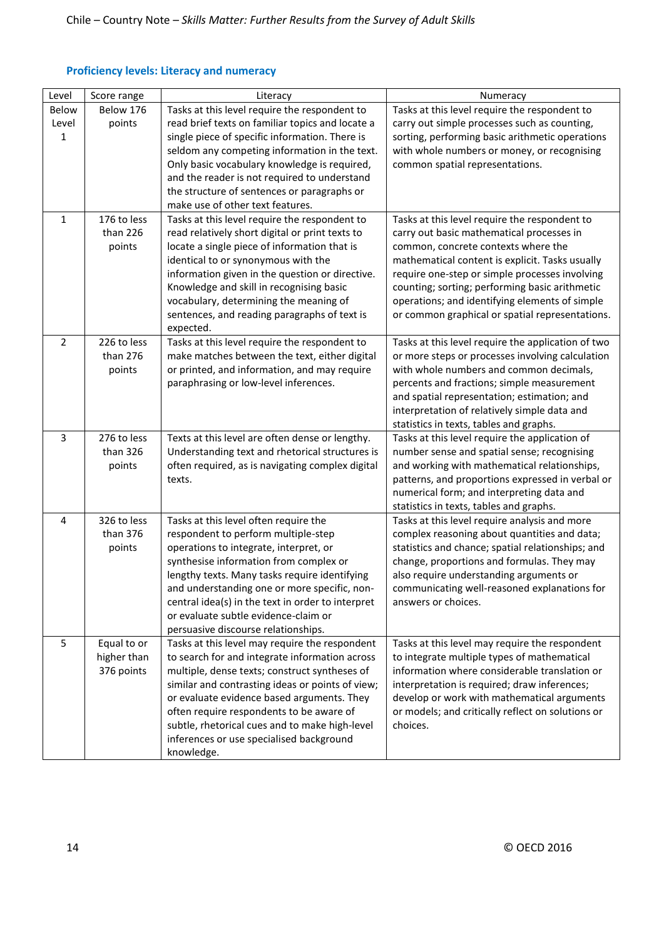| Level          | Score range | Literacy                                          | Numeracy                                                                             |
|----------------|-------------|---------------------------------------------------|--------------------------------------------------------------------------------------|
| Below          | Below 176   | Tasks at this level require the respondent to     | Tasks at this level require the respondent to                                        |
| Level          | points      | read brief texts on familiar topics and locate a  | carry out simple processes such as counting,                                         |
| $\mathbf{1}$   |             | single piece of specific information. There is    | sorting, performing basic arithmetic operations                                      |
|                |             | seldom any competing information in the text.     | with whole numbers or money, or recognising                                          |
|                |             | Only basic vocabulary knowledge is required,      | common spatial representations.                                                      |
|                |             | and the reader is not required to understand      |                                                                                      |
|                |             | the structure of sentences or paragraphs or       |                                                                                      |
|                |             | make use of other text features.                  |                                                                                      |
| $\mathbf{1}$   | 176 to less | Tasks at this level require the respondent to     | Tasks at this level require the respondent to                                        |
|                | than 226    | read relatively short digital or print texts to   | carry out basic mathematical processes in                                            |
|                | points      | locate a single piece of information that is      | common, concrete contexts where the                                                  |
|                |             | identical to or synonymous with the               | mathematical content is explicit. Tasks usually                                      |
|                |             | information given in the question or directive.   | require one-step or simple processes involving                                       |
|                |             | Knowledge and skill in recognising basic          | counting; sorting; performing basic arithmetic                                       |
|                |             | vocabulary, determining the meaning of            | operations; and identifying elements of simple                                       |
|                |             | sentences, and reading paragraphs of text is      | or common graphical or spatial representations.                                      |
|                |             | expected.                                         |                                                                                      |
| $\overline{2}$ | 226 to less | Tasks at this level require the respondent to     | Tasks at this level require the application of two                                   |
|                | than 276    | make matches between the text, either digital     | or more steps or processes involving calculation                                     |
|                | points      | or printed, and information, and may require      | with whole numbers and common decimals,                                              |
|                |             | paraphrasing or low-level inferences.             | percents and fractions; simple measurement                                           |
|                |             |                                                   | and spatial representation; estimation; and                                          |
|                |             |                                                   | interpretation of relatively simple data and                                         |
|                |             |                                                   | statistics in texts, tables and graphs.                                              |
| 3              | 276 to less | Texts at this level are often dense or lengthy.   | Tasks at this level require the application of                                       |
|                | than 326    | Understanding text and rhetorical structures is   | number sense and spatial sense; recognising                                          |
|                | points      | often required, as is navigating complex digital  | and working with mathematical relationships,                                         |
|                |             | texts.                                            | patterns, and proportions expressed in verbal or                                     |
|                |             |                                                   | numerical form; and interpreting data and<br>statistics in texts, tables and graphs. |
| 4              | 326 to less | Tasks at this level often require the             | Tasks at this level require analysis and more                                        |
|                | than 376    | respondent to perform multiple-step               | complex reasoning about quantities and data;                                         |
|                | points      | operations to integrate, interpret, or            | statistics and chance; spatial relationships; and                                    |
|                |             | synthesise information from complex or            | change, proportions and formulas. They may                                           |
|                |             | lengthy texts. Many tasks require identifying     | also require understanding arguments or                                              |
|                |             | and understanding one or more specific, non-      | communicating well-reasoned explanations for                                         |
|                |             | central idea(s) in the text in order to interpret | answers or choices.                                                                  |
|                |             | or evaluate subtle evidence-claim or              |                                                                                      |
|                |             | persuasive discourse relationships.               |                                                                                      |
| 5              | Equal to or | Tasks at this level may require the respondent    | Tasks at this level may require the respondent                                       |
|                | higher than | to search for and integrate information across    | to integrate multiple types of mathematical                                          |
|                | 376 points  | multiple, dense texts; construct syntheses of     | information where considerable translation or                                        |
|                |             | similar and contrasting ideas or points of view;  | interpretation is required; draw inferences;                                         |
|                |             | or evaluate evidence based arguments. They        | develop or work with mathematical arguments                                          |
|                |             | often require respondents to be aware of          | or models; and critically reflect on solutions or                                    |
|                |             | subtle, rhetorical cues and to make high-level    | choices.                                                                             |
|                |             | inferences or use specialised background          |                                                                                      |
|                |             | knowledge.                                        |                                                                                      |

# **Proficiency levels: Literacy and numeracy**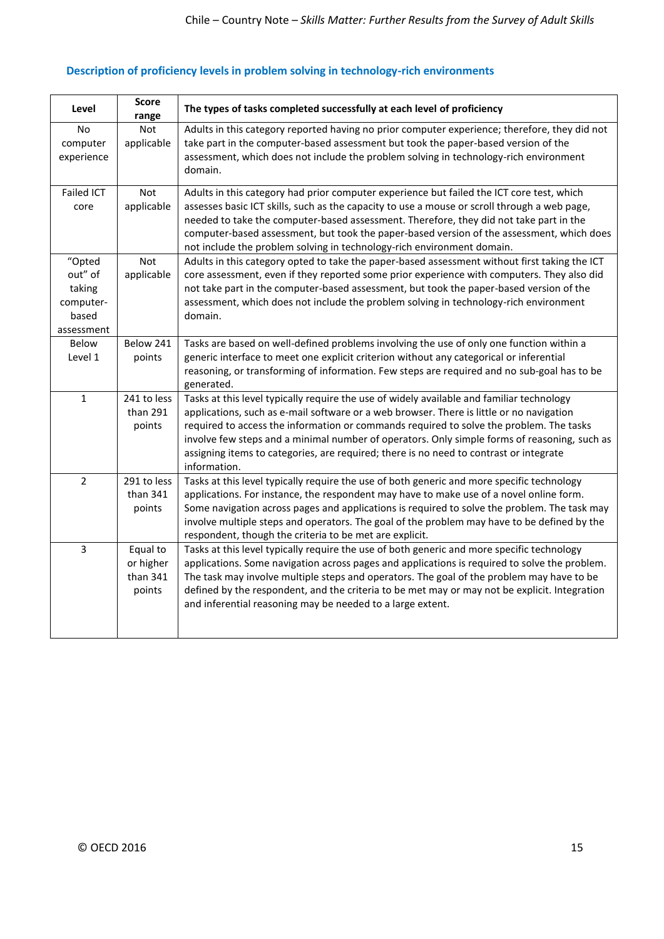| Level                                                           | <b>Score</b><br>range                       | The types of tasks completed successfully at each level of proficiency                                                                                                                                                                                                                                                                                                                                                                                                                     |
|-----------------------------------------------------------------|---------------------------------------------|--------------------------------------------------------------------------------------------------------------------------------------------------------------------------------------------------------------------------------------------------------------------------------------------------------------------------------------------------------------------------------------------------------------------------------------------------------------------------------------------|
| No<br>computer<br>experience                                    | Not<br>applicable                           | Adults in this category reported having no prior computer experience; therefore, they did not<br>take part in the computer-based assessment but took the paper-based version of the<br>assessment, which does not include the problem solving in technology-rich environment<br>domain.                                                                                                                                                                                                    |
| Failed ICT<br>core                                              | Not<br>applicable                           | Adults in this category had prior computer experience but failed the ICT core test, which<br>assesses basic ICT skills, such as the capacity to use a mouse or scroll through a web page,<br>needed to take the computer-based assessment. Therefore, they did not take part in the<br>computer-based assessment, but took the paper-based version of the assessment, which does<br>not include the problem solving in technology-rich environment domain.                                 |
| "Opted<br>out" of<br>taking<br>computer-<br>based<br>assessment | Not<br>applicable                           | Adults in this category opted to take the paper-based assessment without first taking the ICT<br>core assessment, even if they reported some prior experience with computers. They also did<br>not take part in the computer-based assessment, but took the paper-based version of the<br>assessment, which does not include the problem solving in technology-rich environment<br>domain.                                                                                                 |
| Below<br>Level 1                                                | Below 241<br>points                         | Tasks are based on well-defined problems involving the use of only one function within a<br>generic interface to meet one explicit criterion without any categorical or inferential<br>reasoning, or transforming of information. Few steps are required and no sub-goal has to be<br>generated.                                                                                                                                                                                           |
| $\mathbf{1}$                                                    | 241 to less<br>than 291<br>points           | Tasks at this level typically require the use of widely available and familiar technology<br>applications, such as e-mail software or a web browser. There is little or no navigation<br>required to access the information or commands required to solve the problem. The tasks<br>involve few steps and a minimal number of operators. Only simple forms of reasoning, such as<br>assigning items to categories, are required; there is no need to contrast or integrate<br>information. |
| $\overline{2}$                                                  | 291 to less<br>than 341<br>points           | Tasks at this level typically require the use of both generic and more specific technology<br>applications. For instance, the respondent may have to make use of a novel online form.<br>Some navigation across pages and applications is required to solve the problem. The task may<br>involve multiple steps and operators. The goal of the problem may have to be defined by the<br>respondent, though the criteria to be met are explicit.                                            |
| 3                                                               | Equal to<br>or higher<br>than 341<br>points | Tasks at this level typically require the use of both generic and more specific technology<br>applications. Some navigation across pages and applications is required to solve the problem.<br>The task may involve multiple steps and operators. The goal of the problem may have to be<br>defined by the respondent, and the criteria to be met may or may not be explicit. Integration<br>and inferential reasoning may be needed to a large extent.                                    |

# **Description of proficiency levels in problem solving in technology-rich environments**